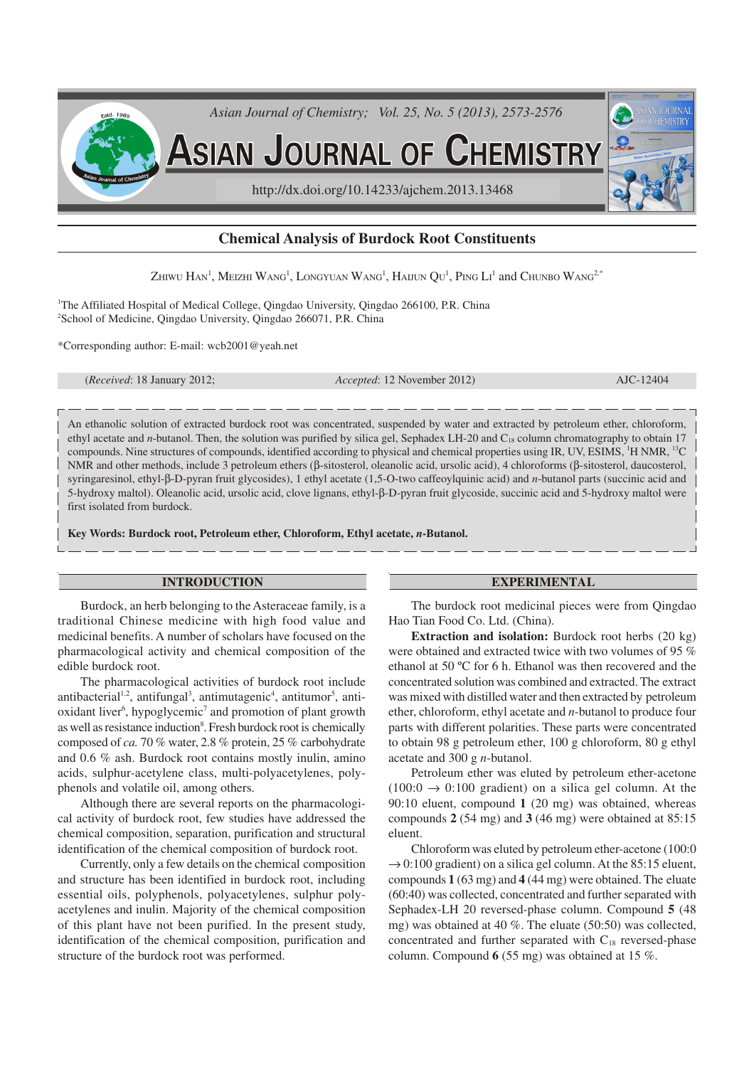

# **Chemical Analysis of Burdock Root Constituents**

Zhiwu Han<sup>1</sup>, Meizhi Wang<sup>1</sup>, Longyuan Wang<sup>1</sup>, Haijun Qu<sup>1</sup>, Ping Li<sup>1</sup> and Chunbo Wang<sup>2,\*</sup>

<sup>1</sup>The Affiliated Hospital of Medical College, Qingdao University, Qingdao 266100, P.R. China <sup>2</sup>School of Medicine, Qingdao University, Qingdao 266071, P.R. China

\*Corresponding author: E-mail: wcb2001@yeah.net

(*Received*: 18 January 2012; *Accepted*: 12 November 2012) AJC-12404

An ethanolic solution of extracted burdock root was concentrated, suspended by water and extracted by petroleum ether, chloroform, ethyl acetate and *n*-butanol. Then, the solution was purified by silica gel, Sephadex LH-20 and C<sub>18</sub> column chromatography to obtain 17 compounds. Nine structures of compounds, identified according to physical and chemical properties using IR, UV, ESIMS,  $\rm{^1H}$  NMR,  $\rm{^{13}C}$ NMR and other methods, include 3 petroleum ethers (β-sitosterol, oleanolic acid, ursolic acid), 4 chloroforms (β-sitosterol, daucosterol, syringaresinol, ethyl-β-D-pyran fruit glycosides), 1 ethyl acetate (1,5-O-two caffeoylquinic acid) and *n*-butanol parts (succinic acid and 5-hydroxy maltol). Oleanolic acid, ursolic acid, clove lignans, ethyl-β-D-pyran fruit glycoside, succinic acid and 5-hydroxy maltol were first isolated from burdock.

**Key Words: Burdock root, Petroleum ether, Chloroform, Ethyl acetate,** *n***-Butanol.**

### **INTRODUCTION**

Burdock, an herb belonging to the Asteraceae family, is a traditional Chinese medicine with high food value and medicinal benefits. A number of scholars have focused on the pharmacological activity and chemical composition of the edible burdock root.

The pharmacological activities of burdock root include antibacterial<sup>1,2</sup>, antifungal<sup>3</sup>, antimutagenic<sup>4</sup>, antitumor<sup>5</sup>, antioxidant liver<sup>6</sup>, hypoglycemic<sup>7</sup> and promotion of plant growth as well as resistance induction<sup>8</sup>. Fresh burdock root is chemically composed of *ca.* 70 % water, 2.8 % protein, 25 % carbohydrate and 0.6 % ash. Burdock root contains mostly inulin, amino acids, sulphur-acetylene class, multi-polyacetylenes, polyphenols and volatile oil, among others.

Although there are several reports on the pharmacological activity of burdock root, few studies have addressed the chemical composition, separation, purification and structural identification of the chemical composition of burdock root.

Currently, only a few details on the chemical composition and structure has been identified in burdock root, including essential oils, polyphenols, polyacetylenes, sulphur polyacetylenes and inulin. Majority of the chemical composition of this plant have not been purified. In the present study, identification of the chemical composition, purification and structure of the burdock root was performed.

#### **EXPERIMENTAL**

The burdock root medicinal pieces were from Qingdao Hao Tian Food Co. Ltd. (China).

**Extraction and isolation:** Burdock root herbs (20 kg) were obtained and extracted twice with two volumes of 95 % ethanol at 50 ºC for 6 h. Ethanol was then recovered and the concentrated solution was combined and extracted. The extract was mixed with distilled water and then extracted by petroleum ether, chloroform, ethyl acetate and *n*-butanol to produce four parts with different polarities. These parts were concentrated to obtain 98 g petroleum ether, 100 g chloroform, 80 g ethyl acetate and 300 g *n*-butanol.

Petroleum ether was eluted by petroleum ether-acetone  $(100:0 \rightarrow 0:100 \text{ gradient})$  on a silica gel column. At the 90:10 eluent, compound **1** (20 mg) was obtained, whereas compounds **2** (54 mg) and **3** (46 mg) were obtained at 85:15 eluent.

Chloroform was eluted by petroleum ether-acetone (100:0  $\rightarrow$  0:100 gradient) on a silica gel column. At the 85:15 eluent, compounds **1** (63 mg) and **4** (44 mg) were obtained. The eluate (60:40) was collected, concentrated and further separated with Sephadex-LH 20 reversed-phase column. Compound **5** (48 mg) was obtained at 40 %. The eluate (50:50) was collected, concentrated and further separated with  $C_{18}$  reversed-phase column. Compound **6** (55 mg) was obtained at 15 %.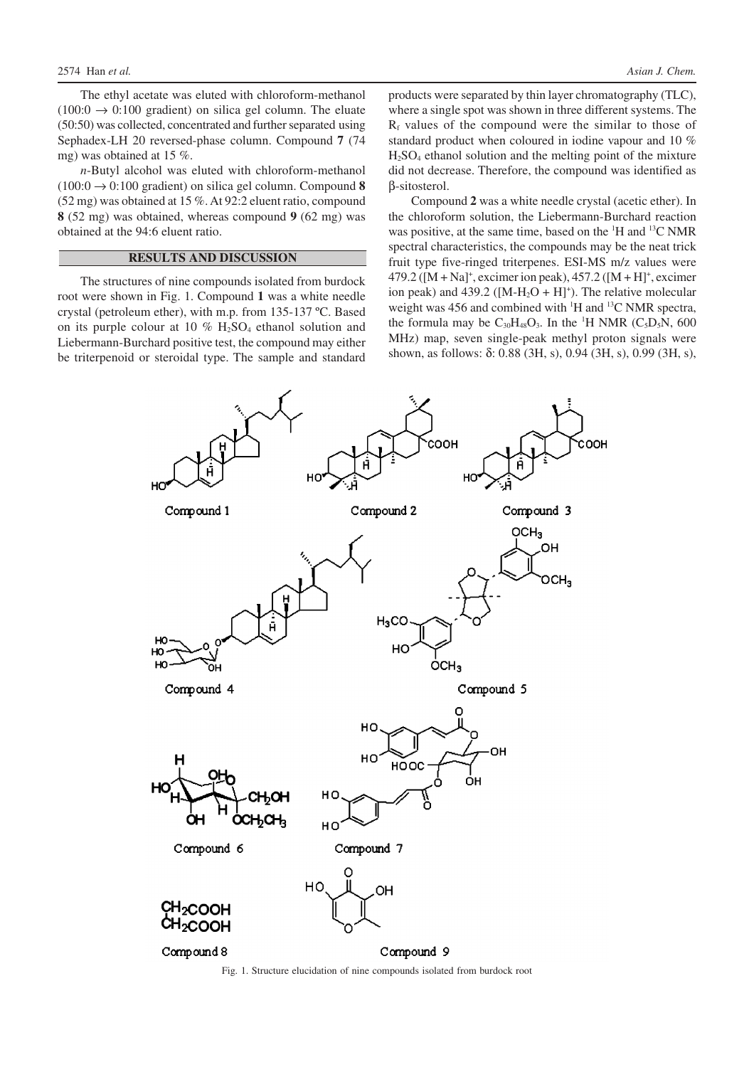The ethyl acetate was eluted with chloroform-methanol  $(100:0 \rightarrow 0:100$  gradient) on silica gel column. The eluate (50:50) was collected, concentrated and further separated using Sephadex-LH 20 reversed-phase column. Compound **7** (74 mg) was obtained at 15 %.

*n*-Butyl alcohol was eluted with chloroform-methanol  $(100:0 \rightarrow 0:100 \text{ gradient})$  on silica gel column. Compound 8 (52 mg) was obtained at 15 %. At 92:2 eluent ratio, compound **8** (52 mg) was obtained, whereas compound **9** (62 mg) was obtained at the 94:6 eluent ratio.

## **RESULTS AND DISCUSSION**

The structures of nine compounds isolated from burdock root were shown in Fig. 1. Compound **1** was a white needle crystal (petroleum ether), with m.p. from 135-137 ºC. Based on its purple colour at 10  $%$  H<sub>2</sub>SO<sub>4</sub> ethanol solution and Liebermann-Burchard positive test, the compound may either be triterpenoid or steroidal type. The sample and standard

products were separated by thin layer chromatography (TLC), where a single spot was shown in three different systems. The  $R_f$  values of the compound were the similar to those of standard product when coloured in iodine vapour and 10 %  $H<sub>2</sub>SO<sub>4</sub>$  ethanol solution and the melting point of the mixture did not decrease. Therefore, the compound was identified as β-sitosterol.

Compound **2** was a white needle crystal (acetic ether). In the chloroform solution, the Liebermann-Burchard reaction was positive, at the same time, based on the <sup>1</sup>H and <sup>13</sup>C NMR spectral characteristics, the compounds may be the neat trick fruit type five-ringed triterpenes. ESI-MS m/z values were  $479.2$  ([M + Na]<sup>+</sup>, excimer ion peak),  $457.2$  ([M + H]<sup>+</sup>, excimer ion peak) and  $439.2$  ([M-H<sub>2</sub>O + H]<sup>+</sup>). The relative molecular weight was 456 and combined with  $H$  and  $H^1$ C NMR spectra, the formula may be  $C_{30}H_{48}O_3$ . In the <sup>1</sup>H NMR (C<sub>5</sub>D<sub>5</sub>N, 600) MHz) map, seven single-peak methyl proton signals were shown, as follows: δ: 0.88 (3H, s), 0.94 (3H, s), 0.99 (3H, s),

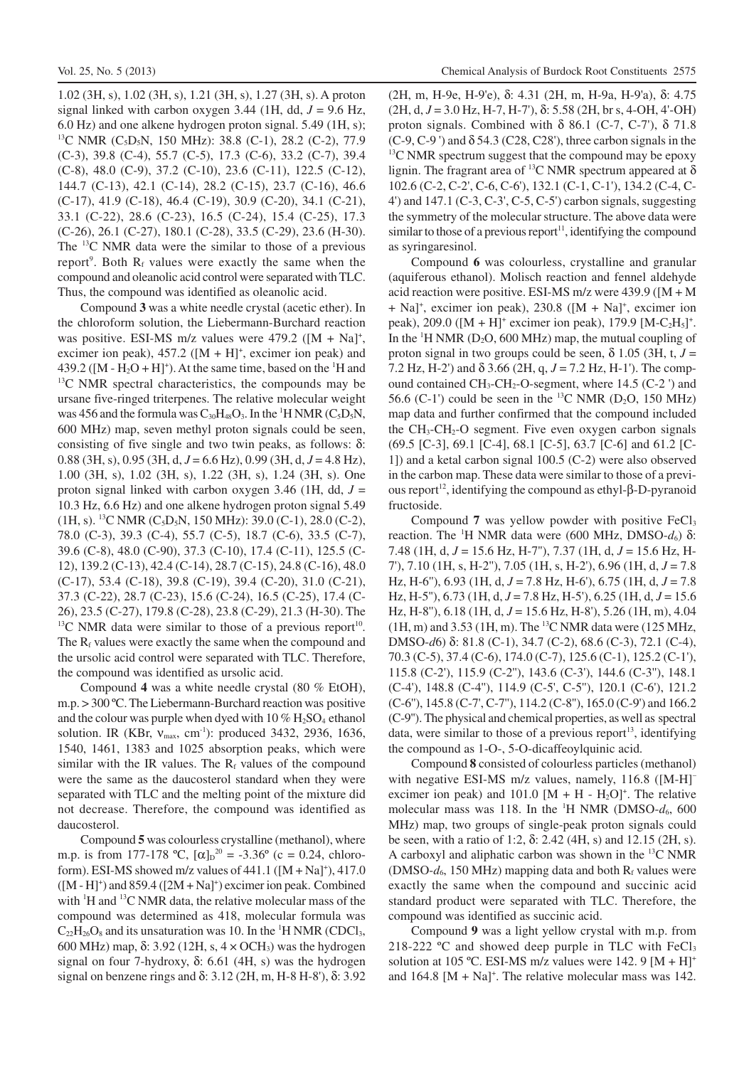1.02 (3H, s), 1.02 (3H, s), 1.21 (3H, s), 1.27 (3H, s). A proton signal linked with carbon oxygen 3.44 (1H, dd,  $J = 9.6$  Hz, 6.0 Hz) and one alkene hydrogen proton signal. 5.49 (1H, s); <sup>13</sup>C NMR (C<sub>5</sub>D<sub>5</sub>N, 150 MHz): 38.8 (C-1), 28.2 (C-2), 77.9 (C-3), 39.8 (C-4), 55.7 (C-5), 17.3 (C-6), 33.2 (C-7), 39.4 (C-8), 48.0 (C-9), 37.2 (C-10), 23.6 (C-11), 122.5 (C-12), 144.7 (C-13), 42.1 (C-14), 28.2 (C-15), 23.7 (C-16), 46.6 (C-17), 41.9 (C-18), 46.4 (C-19), 30.9 (C-20), 34.1 (C-21), 33.1 (C-22), 28.6 (C-23), 16.5 (C-24), 15.4 (C-25), 17.3 (C-26), 26.1 (C-27), 180.1 (C-28), 33.5 (C-29), 23.6 (H-30). The <sup>13</sup>C NMR data were the similar to those of a previous report<sup>9</sup>. Both  $R_f$  values were exactly the same when the compound and oleanolic acid control were separated with TLC. Thus, the compound was identified as oleanolic acid.

Compound **3** was a white needle crystal (acetic ether). In the chloroform solution, the Liebermann-Burchard reaction was positive. ESI-MS m/z values were  $479.2$  ([M + Na]<sup>+</sup>, excimer ion peak),  $457.2$  ( $[M + H]$ <sup>+</sup>, excimer ion peak) and 439.2 ( $[M - H<sub>2</sub>O + H]$ <sup>+</sup>). At the same time, based on the <sup>1</sup>H and  $13<sup>13</sup>C$  NMR spectral characteristics, the compounds may be ursane five-ringed triterpenes. The relative molecular weight was 456 and the formula was  $C_{30}H_{48}O_3$ . In the <sup>1</sup>H NMR ( $C_5D_5N$ , 600 MHz) map, seven methyl proton signals could be seen, consisting of five single and two twin peaks, as follows:  $δ$ : 0.88 (3H, s), 0.95 (3H, d, *J* = 6.6 Hz), 0.99 (3H, d, *J* = 4.8 Hz), 1.00 (3H, s), 1.02 (3H, s), 1.22 (3H, s), 1.24 (3H, s). One proton signal linked with carbon oxygen 3.46 (1H, dd, *J* = 10.3 Hz, 6.6 Hz) and one alkene hydrogen proton signal 5.49  $(1H, s)$ . <sup>13</sup>C NMR  $(C_5D_5N, 150 MHz)$ : 39.0 (C-1), 28.0 (C-2), 78.0 (C-3), 39.3 (C-4), 55.7 (C-5), 18.7 (C-6), 33.5 (C-7), 39.6 (C-8), 48.0 (C-90), 37.3 (C-10), 17.4 (C-11), 125.5 (C-12), 139.2 (C-13), 42.4 (C-14), 28.7 (C-15), 24.8 (C-16), 48.0 (C-17), 53.4 (C-18), 39.8 (C-19), 39.4 (C-20), 31.0 (C-21), 37.3 (C-22), 28.7 (C-23), 15.6 (C-24), 16.5 (C-25), 17.4 (C-26), 23.5 (C-27), 179.8 (C-28), 23.8 (C-29), 21.3 (H-30). The  $^{13}$ C NMR data were similar to those of a previous report<sup>10</sup>. The  $R_f$  values were exactly the same when the compound and the ursolic acid control were separated with TLC. Therefore, the compound was identified as ursolic acid.

Compound **4** was a white needle crystal (80 % EtOH), m.p. > 300 ºC. The Liebermann-Burchard reaction was positive and the colour was purple when dyed with  $10\%$  H<sub>2</sub>SO<sub>4</sub> ethanol solution. IR (KBr, ν<sub>max</sub>, cm<sup>-1</sup>): produced 3432, 2936, 1636, 1540, 1461, 1383 and 1025 absorption peaks, which were similar with the IR values. The  $R_f$  values of the compound were the same as the daucosterol standard when they were separated with TLC and the melting point of the mixture did not decrease. Therefore, the compound was identified as daucosterol.

Compound **5** was colourless crystalline (methanol), where m.p. is from 177-178 °C,  $[\alpha]_D^{20} = -3.36$ ° (c = 0.24, chloroform). ESI-MS showed m/z values of  $441.1$  ( $[M + Na]^+$ ),  $417.0$  $([M - H]^+)$  and 859.4  $([2M + Na]^+)$  excimer ion peak. Combined with  $\mathrm{H}$  and  $\mathrm{H}$ <sup>13</sup>C NMR data, the relative molecular mass of the compound was determined as 418, molecular formula was  $C_{22}H_{26}O_8$  and its unsaturation was 10. In the <sup>1</sup>H NMR (CDCl<sub>3</sub>, 600 MHz) map, δ: 3.92 (12H, s, 4 × OCH3) was the hydrogen signal on four 7-hydroxy, δ: 6.61 (4H, s) was the hydrogen signal on benzene rings and δ: 3.12 (2H, m, H-8 H-8'), δ: 3.92

(2H, m, H-9e, H-9'e), δ: 4.31 (2H, m, H-9a, H-9'a), δ: 4.75  $(2H, d, J = 3.0$  Hz, H-7, H-7'),  $\delta$ : 5.58 (2H, br s, 4-OH, 4'-OH) proton signals. Combined with  $\delta$  86.1 (C-7, C-7'),  $\delta$  71.8  $(C-9, C-9')$  and  $\delta$  54.3 (C28, C28'), three carbon signals in the  $13<sup>13</sup>C$  NMR spectrum suggest that the compound may be epoxy lignin. The fragrant area of <sup>13</sup>C NMR spectrum appeared at  $\delta$ 102.6 (C-2, C-2', C-6, C-6'), 132.1 (C-1, C-1'), 134.2 (C-4, C-4') and 147.1 (C-3, C-3', C-5, C-5') carbon signals, suggesting the symmetry of the molecular structure. The above data were similar to those of a previous report<sup>11</sup>, identifying the compound as syringaresinol.

Compound **6** was colourless, crystalline and granular (aquiferous ethanol). Molisch reaction and fennel aldehyde acid reaction were positive. ESI-MS m/z were 439.9 ([M + M + Na]<sup>+</sup>, excimer ion peak), 230.8 ([M + Na]<sup>+</sup>, excimer ion peak), 209.0 ( $[M + H]$ <sup>+</sup> excimer ion peak), 179.9  $[M - C_2H_5]$ <sup>+</sup>. In the  ${}^{1}H$  NMR (D<sub>2</sub>O, 600 MHz) map, the mutual coupling of proton signal in two groups could be seen,  $\delta$  1.05 (3H, t,  $J =$ 7.2 Hz, H-2') and δ 3.66 (2H, q, *J* = 7.2 Hz, H-1'). The compound contained  $CH_3$ -CH<sub>2</sub>-O-segment, where 14.5 (C-2) and 56.6 (C-1') could be seen in the <sup>13</sup>C NMR (D<sub>2</sub>O, 150 MHz) map data and further confirmed that the compound included the  $CH_3-CH_2-O$  segment. Five even oxygen carbon signals (69.5 [C-3], 69.1 [C-4], 68.1 [C-5], 63.7 [C-6] and 61.2 [C-1]) and a ketal carbon signal 100.5 (C-2) were also observed in the carbon map. These data were similar to those of a previous report 12 , identifying the compound as ethyl-β-D-pyranoid fructoside.

Compound 7 was yellow powder with positive FeCl<sub>3</sub> reaction. The <sup>1</sup>H NMR data were (600 MHz, DMSO- $d_6$ ) δ: 7.48 (1H, d, *J* = 15.6 Hz, H-7''), 7.37 (1H, d, *J* = 15.6 Hz, H-7'), 7.10 (1H, s, H-2''), 7.05 (1H, s, H-2'), 6.96 (1H, d, *J* = 7.8 Hz, H-6''), 6.93 (1H, d, *J* = 7.8 Hz, H-6'), 6.75 (1H, d, *J* = 7.8 Hz, H-5''), 6.73 (1H, d, *J* = 7.8 Hz, H-5'), 6.25 (1H, d, *J* = 15.6 Hz, H-8''), 6.18 (1H, d, *J* = 15.6 Hz, H-8'), 5.26 (1H, m), 4.04  $(1H, m)$  and 3.53 (1H, m). The <sup>13</sup>C NMR data were (125 MHz, DMSO-*d*6) δ: 81.8 (C-1), 34.7 (C-2), 68.6 (C-3), 72.1 (C-4), 70.3 (C-5), 37.4 (C-6), 174.0 (C-7), 125.6 (C-1), 125.2 (C-1'), 115.8 (C-2'), 115.9 (C-2''), 143.6 (C-3'), 144.6 (C-3''), 148.1 (C-4'), 148.8 (C-4''), 114.9 (C-5', C-5''), 120.1 (C-6'), 121.2 (C-6''), 145.8 (C-7', C-7''), 114.2 (C-8''), 165.0 (C-9') and 166.2 (C-9''). The physical and chemical properties, as well as spectral data, were similar to those of a previous report<sup>13</sup>, identifying the compound as 1-O-, 5-O-dicaffeoylquinic acid.

Compound **8** consisted of colourless particles (methanol) with negative ESI-MS m/z values, namely, 116.8 ([M-H]<sup>-</sup> excimer ion peak) and  $101.0$  [M + H - H<sub>2</sub>O]<sup>+</sup>. The relative molecular mass was 118. In the <sup>1</sup>H NMR (DMSO- $d_6$ , 600 MHz) map, two groups of single-peak proton signals could be seen, with a ratio of 1:2, δ: 2.42 (4H, s) and 12.15 (2H, s). A carboxyl and aliphatic carbon was shown in the  $^{13}$ C NMR (DMSO- $d_6$ , 150 MHz) mapping data and both  $R_f$  values were exactly the same when the compound and succinic acid standard product were separated with TLC. Therefore, the compound was identified as succinic acid.

Compound **9** was a light yellow crystal with m.p. from 218-222 °C and showed deep purple in TLC with FeCl<sub>3</sub> solution at 105 °C. ESI-MS m/z values were 142. 9  $[M + H]$ <sup>+</sup> and  $164.8$  [M + Na]<sup>+</sup>. The relative molecular mass was 142.